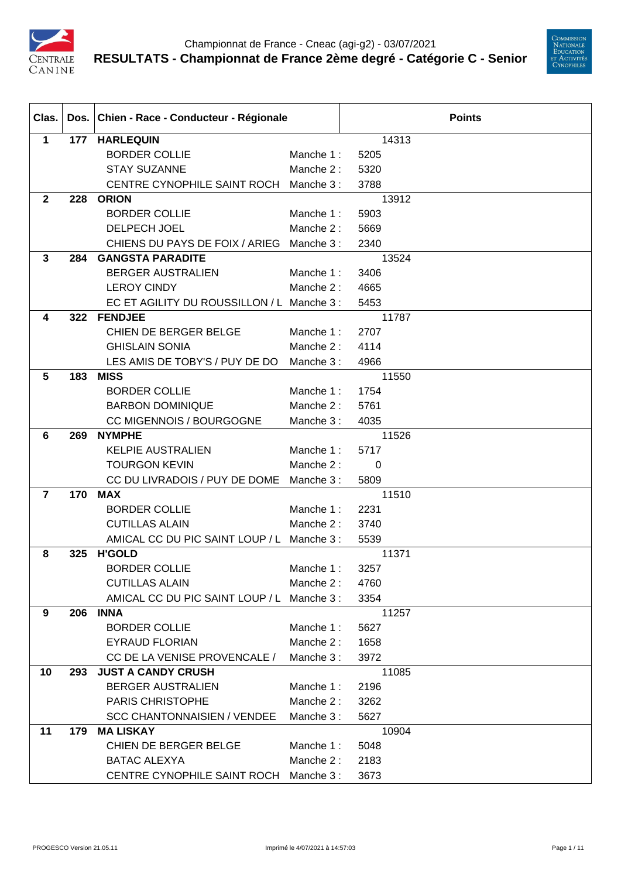



| Clas.           |     | Dos. Chien - Race - Conducteur - Régionale |           |       | <b>Points</b> |
|-----------------|-----|--------------------------------------------|-----------|-------|---------------|
| $\mathbf 1$     |     | 177 HARLEQUIN                              |           | 14313 |               |
|                 |     | <b>BORDER COLLIE</b>                       | Manche 1: | 5205  |               |
|                 |     | <b>STAY SUZANNE</b>                        | Manche 2: | 5320  |               |
|                 |     | CENTRE CYNOPHILE SAINT ROCH                | Manche 3: | 3788  |               |
| $\mathbf{2}$    | 228 | <b>ORION</b>                               |           | 13912 |               |
|                 |     | <b>BORDER COLLIE</b>                       | Manche 1: | 5903  |               |
|                 |     | <b>DELPECH JOEL</b>                        | Manche 2: | 5669  |               |
|                 |     | CHIENS DU PAYS DE FOIX / ARIEG             | Manche 3: | 2340  |               |
| $\mathbf{3}$    | 284 | <b>GANGSTA PARADITE</b>                    |           | 13524 |               |
|                 |     | <b>BERGER AUSTRALIEN</b>                   | Manche 1: | 3406  |               |
|                 |     | <b>LEROY CINDY</b>                         | Manche 2: | 4665  |               |
|                 |     | EC ET AGILITY DU ROUSSILLON / L Manche 3 : |           | 5453  |               |
| 4               | 322 | <b>FENDJEE</b>                             |           | 11787 |               |
|                 |     | <b>CHIEN DE BERGER BELGE</b>               | Manche 1: | 2707  |               |
|                 |     | <b>GHISLAIN SONIA</b>                      | Manche 2: | 4114  |               |
|                 |     | LES AMIS DE TOBY'S / PUY DE DO             | Manche 3: | 4966  |               |
| $5\phantom{.0}$ | 183 | <b>MISS</b>                                |           | 11550 |               |
|                 |     | <b>BORDER COLLIE</b>                       | Manche 1: | 1754  |               |
|                 |     | <b>BARBON DOMINIQUE</b>                    | Manche 2: | 5761  |               |
|                 |     | CC MIGENNOIS / BOURGOGNE                   | Manche 3: | 4035  |               |
| 6               | 269 | <b>NYMPHE</b>                              |           | 11526 |               |
|                 |     | <b>KELPIE AUSTRALIEN</b>                   | Manche 1: | 5717  |               |
|                 |     | <b>TOURGON KEVIN</b>                       | Manche 2: | 0     |               |
|                 |     | CC DU LIVRADOIS / PUY DE DOME              | Manche 3: | 5809  |               |
| $\overline{7}$  | 170 | <b>MAX</b>                                 |           | 11510 |               |
|                 |     | <b>BORDER COLLIE</b>                       | Manche 1: | 2231  |               |
|                 |     | <b>CUTILLAS ALAIN</b>                      | Manche 2: | 3740  |               |
|                 |     | AMICAL CC DU PIC SAINT LOUP / L            | Manche 3: | 5539  |               |
| 8               | 325 | <b>H'GOLD</b>                              |           | 11371 |               |
|                 |     | <b>BORDER COLLIE</b>                       | Manche 1: | 3257  |               |
|                 |     | <b>CUTILLAS ALAIN</b>                      | Manche 2: | 4760  |               |
|                 |     | AMICAL CC DU PIC SAINT LOUP / L Manche 3 : |           | 3354  |               |
| 9               | 206 | <b>INNA</b>                                |           | 11257 |               |
|                 |     | <b>BORDER COLLIE</b>                       | Manche 1: | 5627  |               |
|                 |     | <b>EYRAUD FLORIAN</b>                      | Manche 2: | 1658  |               |
|                 |     | CC DE LA VENISE PROVENCALE /               | Manche 3: | 3972  |               |
| 10              | 293 | <b>JUST A CANDY CRUSH</b>                  |           | 11085 |               |
|                 |     | <b>BERGER AUSTRALIEN</b>                   | Manche 1: | 2196  |               |
|                 |     | PARIS CHRISTOPHE                           | Manche 2: | 3262  |               |
|                 |     | <b>SCC CHANTONNAISIEN / VENDEE</b>         | Manche 3: | 5627  |               |
| 11              | 179 | <b>MA LISKAY</b>                           |           | 10904 |               |
|                 |     | CHIEN DE BERGER BELGE                      | Manche 1: | 5048  |               |
|                 |     | <b>BATAC ALEXYA</b>                        | Manche 2: | 2183  |               |
|                 |     | CENTRE CYNOPHILE SAINT ROCH                | Manche 3: | 3673  |               |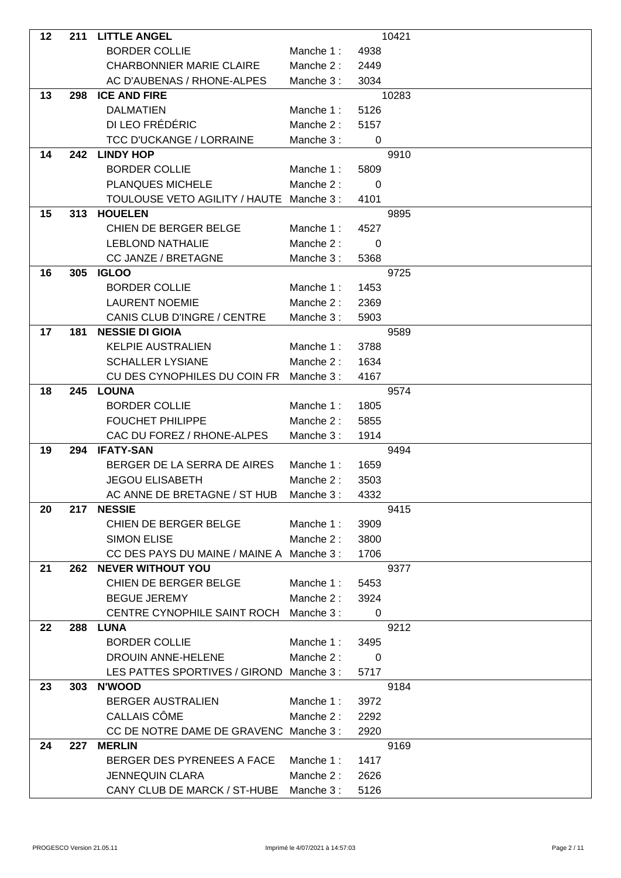| 12 | 211 | <b>LITTLE ANGEL</b>                       |           |                | 10421 |
|----|-----|-------------------------------------------|-----------|----------------|-------|
|    |     | <b>BORDER COLLIE</b>                      | Manche 1: | 4938           |       |
|    |     | <b>CHARBONNIER MARIE CLAIRE</b>           | Manche 2: | 2449           |       |
|    |     | AC D'AUBENAS / RHONE-ALPES                | Manche 3: | 3034           |       |
| 13 | 298 | <b>ICE AND FIRE</b>                       |           |                | 10283 |
|    |     | <b>DALMATIEN</b>                          | Manche 1: | 5126           |       |
|    |     | DI LEO FRÉDÉRIC                           | Manche 2: | 5157           |       |
|    |     | <b>TCC D'UCKANGE / LORRAINE</b>           | Manche 3: | 0              |       |
| 14 | 242 | <b>LINDY HOP</b>                          |           |                | 9910  |
|    |     | <b>BORDER COLLIE</b>                      | Manche 1: | 5809           |       |
|    |     | PLANQUES MICHELE                          | Manche 2: | $\Omega$       |       |
|    |     | TOULOUSE VETO AGILITY / HAUTE Manche 3 :  |           | 4101           |       |
| 15 | 313 | <b>HOUELEN</b>                            |           |                | 9895  |
|    |     | CHIEN DE BERGER BELGE                     | Manche 1: | 4527           |       |
|    |     | <b>LEBLOND NATHALIE</b>                   | Manche 2: | $\Omega$       |       |
|    |     | CC JANZE / BRETAGNE                       | Manche 3: | 5368           |       |
| 16 | 305 | <b>IGLOO</b>                              |           |                | 9725  |
|    |     | <b>BORDER COLLIE</b>                      | Manche 1: | 1453           |       |
|    |     | <b>LAURENT NOEMIE</b>                     |           |                |       |
|    |     |                                           | Manche 2: | 2369           |       |
|    |     | CANIS CLUB D'INGRE / CENTRE               | Manche 3: | 5903           |       |
| 17 | 181 | <b>NESSIE DI GIOIA</b>                    |           |                | 9589  |
|    |     | <b>KELPIE AUSTRALIEN</b>                  | Manche 1: | 3788           |       |
|    |     | <b>SCHALLER LYSIANE</b>                   | Manche 2: | 1634           |       |
|    |     | CU DES CYNOPHILES DU COIN FR              | Manche 3: | 4167           |       |
| 18 | 245 | <b>LOUNA</b>                              |           |                | 9574  |
|    |     | <b>BORDER COLLIE</b>                      | Manche 1: | 1805           |       |
|    |     | <b>FOUCHET PHILIPPE</b>                   | Manche 2: | 5855           |       |
|    |     | CAC DU FOREZ / RHONE-ALPES                | Manche 3: | 1914           |       |
| 19 | 294 | <b>IFATY-SAN</b>                          |           |                | 9494  |
|    |     | BERGER DE LA SERRA DE AIRES               | Manche 1: | 1659           |       |
|    |     | <b>JEGOU ELISABETH</b>                    | Manche 2: | 3503           |       |
|    |     | AC ANNE DE BRETAGNE / ST HUB              | Manche 3: | 4332           |       |
| 20 | 217 | <b>NESSIE</b>                             |           |                | 9415  |
|    |     | CHIEN DE BERGER BELGE                     | Manche 1: | 3909           |       |
|    |     | <b>SIMON ELISE</b>                        | Manche 2: | 3800           |       |
|    |     | CC DES PAYS DU MAINE / MAINE A Manche 3 : |           | 1706           |       |
| 21 |     | <b>262 NEVER WITHOUT YOU</b>              |           |                | 9377  |
|    |     | CHIEN DE BERGER BELGE                     | Manche 1: | 5453           |       |
|    |     | <b>BEGUE JEREMY</b>                       | Manche 2: | 3924           |       |
|    |     | CENTRE CYNOPHILE SAINT ROCH Manche 3:     |           | $\overline{0}$ |       |
| 22 | 288 | <b>LUNA</b>                               |           |                | 9212  |
|    |     | <b>BORDER COLLIE</b>                      | Manche 1: | 3495           |       |
|    |     | DROUIN ANNE-HELENE                        | Manche 2: | 0              |       |
|    |     | LES PATTES SPORTIVES / GIROND Manche 3 :  |           | 5717           |       |
| 23 | 303 | <b>N'WOOD</b>                             |           |                | 9184  |
|    |     | <b>BERGER AUSTRALIEN</b>                  | Manche 1: | 3972           |       |
|    |     | CALLAIS CÔME                              | Manche 2: | 2292           |       |
|    |     | CC DE NOTRE DAME DE GRAVENC Manche 3 :    |           | 2920           |       |
| 24 | 227 | <b>MERLIN</b>                             |           |                | 9169  |
|    |     | BERGER DES PYRENEES A FACE                | Manche 1: | 1417           |       |
|    |     | <b>JENNEQUIN CLARA</b>                    | Manche 2: | 2626           |       |
|    |     | CANY CLUB DE MARCK / ST-HUBE Manche 3 :   |           | 5126           |       |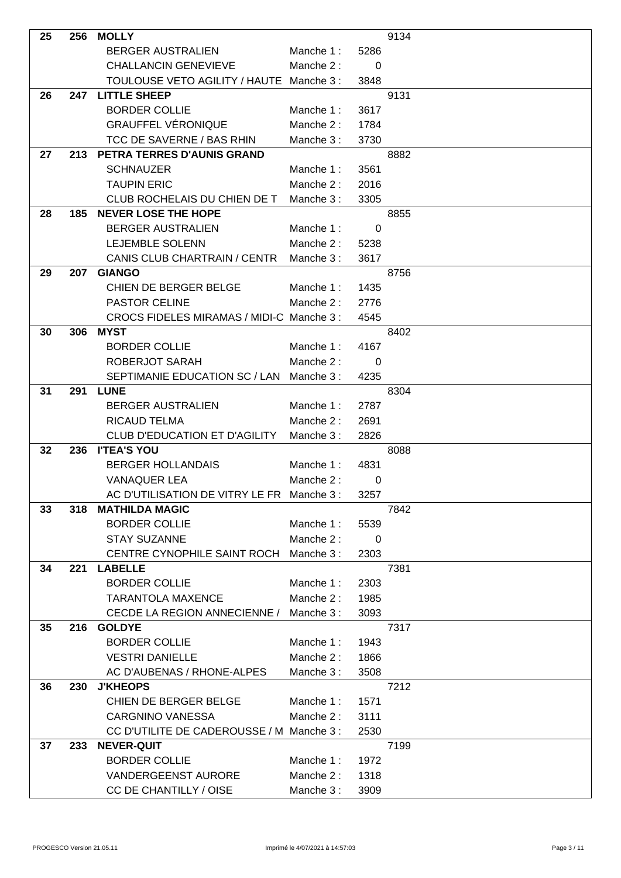| 25 | 256 | <b>MOLLY</b>                               |           |                | 9134 |
|----|-----|--------------------------------------------|-----------|----------------|------|
|    |     | <b>BERGER AUSTRALIEN</b>                   | Manche 1: | 5286           |      |
|    |     | <b>CHALLANCIN GENEVIEVE</b>                | Manche 2: | 0              |      |
|    |     | TOULOUSE VETO AGILITY / HAUTE Manche 3 :   |           | 3848           |      |
| 26 | 247 | <b>LITTLE SHEEP</b>                        |           |                | 9131 |
|    |     | <b>BORDER COLLIE</b>                       | Manche 1: | 3617           |      |
|    |     | <b>GRAUFFEL VÉRONIQUE</b>                  | Manche 2: | 1784           |      |
|    |     | TCC DE SAVERNE / BAS RHIN                  | Manche 3: | 3730           |      |
| 27 | 213 | PETRA TERRES D'AUNIS GRAND                 |           |                | 8882 |
|    |     | <b>SCHNAUZER</b>                           | Manche 1: | 3561           |      |
|    |     | <b>TAUPIN ERIC</b>                         | Manche 2: | 2016           |      |
|    |     | CLUB ROCHELAIS DU CHIEN DE T               | Manche 3: | 3305           |      |
| 28 | 185 | <b>NEVER LOSE THE HOPE</b>                 |           |                | 8855 |
|    |     | BERGER AUSTRALIEN                          | Manche 1: | 0              |      |
|    |     | <b>LEJEMBLE SOLENN</b>                     | Manche 2: | 5238           |      |
|    |     | CANIS CLUB CHARTRAIN / CENTR               | Manche 3: | 3617           |      |
| 29 | 207 | <b>GIANGO</b>                              |           |                | 8756 |
|    |     | CHIEN DE BERGER BELGE                      | Manche 1: | 1435           |      |
|    |     | <b>PASTOR CELINE</b>                       | Manche 2: | 2776           |      |
|    |     | CROCS FIDELES MIRAMAS / MIDI-C Manche 3 :  |           | 4545           |      |
| 30 | 306 | <b>MYST</b>                                |           |                | 8402 |
|    |     | <b>BORDER COLLIE</b>                       | Manche 1: | 4167           |      |
|    |     | ROBERJOT SARAH                             | Manche 2: | $\overline{0}$ |      |
|    |     | SEPTIMANIE EDUCATION SC / LAN              | Manche 3: | 4235           |      |
| 31 | 291 | <b>LUNE</b>                                |           |                | 8304 |
|    |     | <b>BERGER AUSTRALIEN</b>                   | Manche 1: | 2787           |      |
|    |     | <b>RICAUD TELMA</b>                        | Manche 2: | 2691           |      |
|    |     | <b>CLUB D'EDUCATION ET D'AGILITY</b>       | Manche 3: | 2826           |      |
| 32 | 236 | <b>I'TEA'S YOU</b>                         |           |                | 8088 |
|    |     | <b>BERGER HOLLANDAIS</b>                   | Manche 1: | 4831           |      |
|    |     | <b>VANAQUER LEA</b>                        | Manche 2: | 0              |      |
|    |     | AC D'UTILISATION DE VITRY LE FR Manche 3 : |           | 3257           |      |
| 33 | 318 | <b>MATHILDA MAGIC</b>                      |           |                | 7842 |
|    |     | <b>BORDER COLLIE</b>                       | Manche 1: | 5539           |      |
|    |     | <b>STAY SUZANNE</b>                        | Manche 2: | 0              |      |
|    |     | CENTRE CYNOPHILE SAINT ROCH                | Manche 3: | 2303           |      |
| 34 | 221 | <b>LABELLE</b>                             |           |                | 7381 |
|    |     | <b>BORDER COLLIE</b>                       | Manche 1: | 2303           |      |
|    |     | <b>TARANTOLA MAXENCE</b>                   | Manche 2: | 1985           |      |
|    |     | CECDE LA REGION ANNECIENNE /               | Manche 3: | 3093           |      |
| 35 | 216 | <b>GOLDYE</b>                              |           |                | 7317 |
|    |     | <b>BORDER COLLIE</b>                       | Manche 1: | 1943           |      |
|    |     | <b>VESTRI DANIELLE</b>                     | Manche 2: | 1866           |      |
|    |     | AC D'AUBENAS / RHONE-ALPES                 | Manche 3: | 3508           |      |
| 36 | 230 | <b>J'KHEOPS</b>                            |           |                | 7212 |
|    |     | CHIEN DE BERGER BELGE                      | Manche 1: | 1571           |      |
|    |     | <b>CARGNINO VANESSA</b>                    | Manche 2: | 3111           |      |
|    |     | CC D'UTILITE DE CADEROUSSE / M Manche 3 :  |           | 2530           |      |
| 37 | 233 | <b>NEVER-QUIT</b>                          |           |                | 7199 |
|    |     | <b>BORDER COLLIE</b>                       | Manche 1: | 1972           |      |
|    |     | VANDERGEENST AURORE                        | Manche 2: | 1318           |      |
|    |     | CC DE CHANTILLY / OISE                     | Manche 3: | 3909           |      |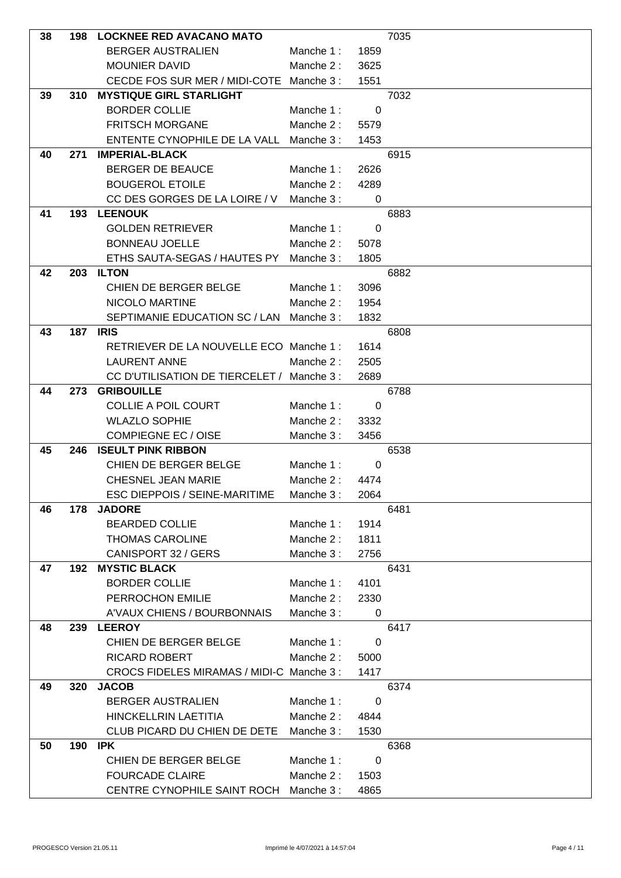| 38 | 198 | <b>LOCKNEE RED AVACANO MATO</b>           |           |             | 7035 |
|----|-----|-------------------------------------------|-----------|-------------|------|
|    |     | <b>BERGER AUSTRALIEN</b>                  | Manche 1: | 1859        |      |
|    |     | <b>MOUNIER DAVID</b>                      | Manche 2: | 3625        |      |
|    |     | CECDE FOS SUR MER / MIDI-COTE             | Manche 3: | 1551        |      |
| 39 | 310 | <b>MYSTIQUE GIRL STARLIGHT</b>            |           |             | 7032 |
|    |     | <b>BORDER COLLIE</b>                      | Manche 1: | $\mathbf 0$ |      |
|    |     | <b>FRITSCH MORGANE</b>                    | Manche 2: | 5579        |      |
|    |     | ENTENTE CYNOPHILE DE LA VALL              | Manche 3: | 1453        |      |
| 40 | 271 | <b>IMPERIAL-BLACK</b>                     |           |             | 6915 |
|    |     | <b>BERGER DE BEAUCE</b>                   | Manche 1: | 2626        |      |
|    |     | <b>BOUGEROL ETOILE</b>                    | Manche 2: | 4289        |      |
|    |     | CC DES GORGES DE LA LOIRE / V             | Manche 3: | 0           |      |
| 41 | 193 | <b>LEENOUK</b>                            |           |             | 6883 |
|    |     | <b>GOLDEN RETRIEVER</b>                   | Manche 1: | 0           |      |
|    |     | <b>BONNEAU JOELLE</b>                     | Manche 2: | 5078        |      |
|    |     | ETHS SAUTA-SEGAS / HAUTES PY              | Manche 3: | 1805        |      |
| 42 | 203 | <b>ILTON</b>                              |           |             | 6882 |
|    |     | <b>CHIEN DE BERGER BELGE</b>              | Manche 1: | 3096        |      |
|    |     | NICOLO MARTINE                            | Manche 2: | 1954        |      |
|    |     |                                           |           |             |      |
|    |     | SEPTIMANIE EDUCATION SC / LAN             | Manche 3: | 1832        |      |
| 43 |     | <b>187 IRIS</b>                           |           |             | 6808 |
|    |     | RETRIEVER DE LA NOUVELLE ECO Manche 1 :   |           | 1614        |      |
|    |     | <b>LAURENT ANNE</b>                       | Manche 2: | 2505        |      |
|    |     | CC D'UTILISATION DE TIERCELET /           | Manche 3: | 2689        |      |
| 44 | 273 | <b>GRIBOUILLE</b>                         |           |             | 6788 |
|    |     | <b>COLLIE A POIL COURT</b>                | Manche 1: | 0           |      |
|    |     | <b>WLAZLO SOPHIE</b>                      | Manche 2: | 3332        |      |
|    |     | <b>COMPIEGNE EC / OISE</b>                | Manche 3: | 3456        |      |
| 45 | 246 | <b>ISEULT PINK RIBBON</b>                 |           |             | 6538 |
|    |     | CHIEN DE BERGER BELGE                     | Manche 1: | 0           |      |
|    |     | CHESNEL JEAN MARIE                        | Manche 2: | 4474        |      |
|    |     | ESC DIEPPOIS / SEINE-MARITIME             | Manche 3: | 2064        |      |
| 46 | 178 | <b>JADORE</b>                             |           |             | 6481 |
|    |     | <b>BEARDED COLLIE</b>                     | Manche 1: | 1914        |      |
|    |     | <b>THOMAS CAROLINE</b>                    | Manche 2: | 1811        |      |
|    |     | CANISPORT 32 / GERS                       | Manche 3: | 2756        |      |
| 47 | 192 | <b>MYSTIC BLACK</b>                       |           |             | 6431 |
|    |     | <b>BORDER COLLIE</b>                      | Manche 1: | 4101        |      |
|    |     | PERROCHON EMILIE                          | Manche 2: | 2330        |      |
|    |     | A'VAUX CHIENS / BOURBONNAIS               | Manche 3: | 0           |      |
| 48 | 239 | <b>LEEROY</b>                             |           |             | 6417 |
|    |     | CHIEN DE BERGER BELGE                     | Manche 1: | 0           |      |
|    |     | RICARD ROBERT                             | Manche 2: | 5000        |      |
|    |     | CROCS FIDELES MIRAMAS / MIDI-C Manche 3 : |           | 1417        |      |
| 49 | 320 | <b>JACOB</b>                              |           |             | 6374 |
|    |     | <b>BERGER AUSTRALIEN</b>                  | Manche 1: | 0           |      |
|    |     | HINCKELLRIN LAETITIA                      | Manche 2: | 4844        |      |
|    |     | CLUB PICARD DU CHIEN DE DETE              | Manche 3: | 1530        |      |
| 50 | 190 | IPK                                       |           |             | 6368 |
|    |     | CHIEN DE BERGER BELGE                     | Manche 1: | $\mathbf 0$ |      |
|    |     | <b>FOURCADE CLAIRE</b>                    | Manche 2: | 1503        |      |
|    |     | CENTRE CYNOPHILE SAINT ROCH Manche 3:     |           | 4865        |      |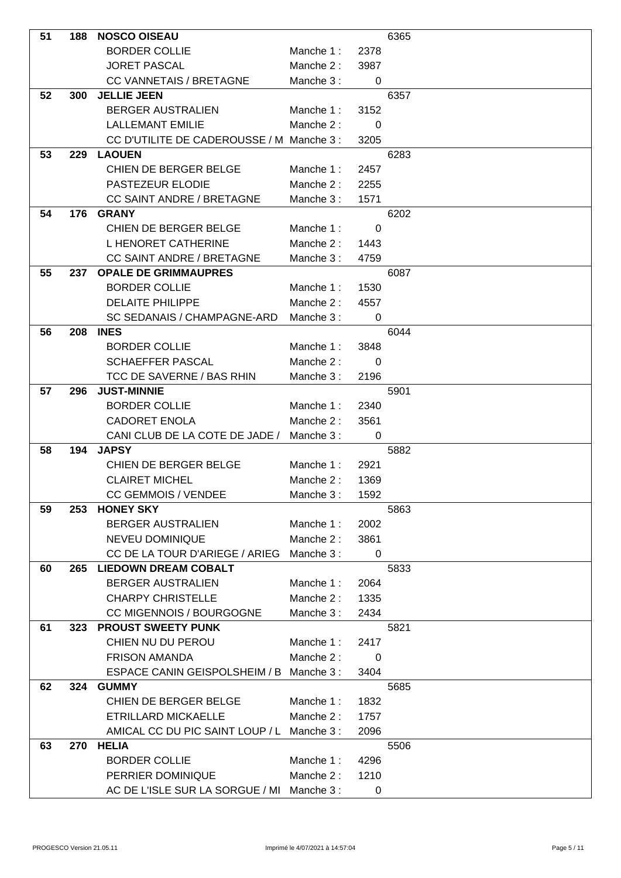| 51 | 188 | <b>NOSCO OISEAU</b>                        |           |                | 6365 |
|----|-----|--------------------------------------------|-----------|----------------|------|
|    |     | <b>BORDER COLLIE</b>                       | Manche 1: | 2378           |      |
|    |     | <b>JORET PASCAL</b>                        | Manche 2: | 3987           |      |
|    |     | <b>CC VANNETAIS / BRETAGNE</b>             | Manche 3: | 0              |      |
| 52 | 300 | <b>JELLIE JEEN</b>                         |           |                | 6357 |
|    |     | <b>BERGER AUSTRALIEN</b>                   | Manche 1: | 3152           |      |
|    |     | <b>LALLEMANT EMILIE</b>                    | Manche 2: | $\Omega$       |      |
|    |     | CC D'UTILITE DE CADEROUSSE / M Manche 3 :  |           | 3205           |      |
| 53 | 229 | <b>LAOUEN</b>                              |           |                | 6283 |
|    |     | CHIEN DE BERGER BELGE                      | Manche 1: | 2457           |      |
|    |     | PASTEZEUR ELODIE                           | Manche 2: | 2255           |      |
|    |     | <b>CC SAINT ANDRE / BRETAGNE</b>           | Manche 3: | 1571           |      |
| 54 | 176 | <b>GRANY</b>                               |           |                | 6202 |
|    |     | CHIEN DE BERGER BELGE                      | Manche 1: | 0              |      |
|    |     | L HENORET CATHERINE                        | Manche 2: | 1443           |      |
|    |     | <b>CC SAINT ANDRE / BRETAGNE</b>           |           |                |      |
| 55 | 237 | <b>OPALE DE GRIMMAUPRES</b>                | Manche 3: | 4759           | 6087 |
|    |     | <b>BORDER COLLIE</b>                       |           |                |      |
|    |     |                                            | Manche 1: | 1530           |      |
|    |     | <b>DELAITE PHILIPPE</b>                    | Manche 2: | 4557           |      |
|    |     | SC SEDANAIS / CHAMPAGNE-ARD                | Manche 3: | 0              |      |
| 56 | 208 | <b>INES</b>                                |           |                | 6044 |
|    |     | <b>BORDER COLLIE</b>                       | Manche 1: | 3848           |      |
|    |     | <b>SCHAEFFER PASCAL</b>                    | Manche 2: | 0              |      |
|    |     | TCC DE SAVERNE / BAS RHIN                  | Manche 3: | 2196           |      |
| 57 | 296 | <b>JUST-MINNIE</b>                         |           |                | 5901 |
|    |     | <b>BORDER COLLIE</b>                       | Manche 1: | 2340           |      |
|    |     | <b>CADORET ENOLA</b>                       | Manche 2: | 3561           |      |
|    |     | CANI CLUB DE LA COTE DE JADE /             | Manche 3: | 0              |      |
| 58 | 194 | <b>JAPSY</b>                               |           |                | 5882 |
|    |     | CHIEN DE BERGER BELGE                      | Manche 1: | 2921           |      |
|    |     | <b>CLAIRET MICHEL</b>                      | Manche 2: | 1369           |      |
|    |     | <b>CC GEMMOIS / VENDEE</b>                 | Manche 3: | 1592           |      |
| 59 | 253 | <b>HONEY SKY</b>                           |           |                | 5863 |
|    |     | <b>BERGER AUSTRALIEN</b>                   | Manche 1: | 2002           |      |
|    |     | NEVEU DOMINIQUE                            | Manche 2: | 3861           |      |
|    |     | CC DE LA TOUR D'ARIEGE / ARIEG             | Manche 3: | $\overline{0}$ |      |
| 60 | 265 | <b>LIEDOWN DREAM COBALT</b>                |           |                | 5833 |
|    |     | <b>BERGER AUSTRALIEN</b>                   | Manche 1: | 2064           |      |
|    |     | <b>CHARPY CHRISTELLE</b>                   | Manche 2: | 1335           |      |
|    |     | CC MIGENNOIS / BOURGOGNE                   | Manche 3: | 2434           |      |
| 61 | 323 | <b>PROUST SWEETY PUNK</b>                  |           |                | 5821 |
|    |     | CHIEN NU DU PEROU                          | Manche 1: | 2417           |      |
|    |     | <b>FRISON AMANDA</b>                       | Manche 2: | 0              |      |
|    |     | ESPACE CANIN GEISPOLSHEIM / B Manche 3 :   |           | 3404           |      |
| 62 | 324 | <b>GUMMY</b>                               |           |                | 5685 |
|    |     | CHIEN DE BERGER BELGE                      | Manche 1: | 1832           |      |
|    |     | ETRILLARD MICKAELLE                        | Manche 2: | 1757           |      |
|    |     | AMICAL CC DU PIC SAINT LOUP / L Manche 3 : |           | 2096           |      |
| 63 | 270 | <b>HELIA</b>                               |           |                | 5506 |
|    |     | <b>BORDER COLLIE</b>                       | Manche 1: | 4296           |      |
|    |     | PERRIER DOMINIQUE                          | Manche 2: | 1210           |      |
|    |     | AC DE L'ISLE SUR LA SORGUE / MI Manche 3 : |           | 0              |      |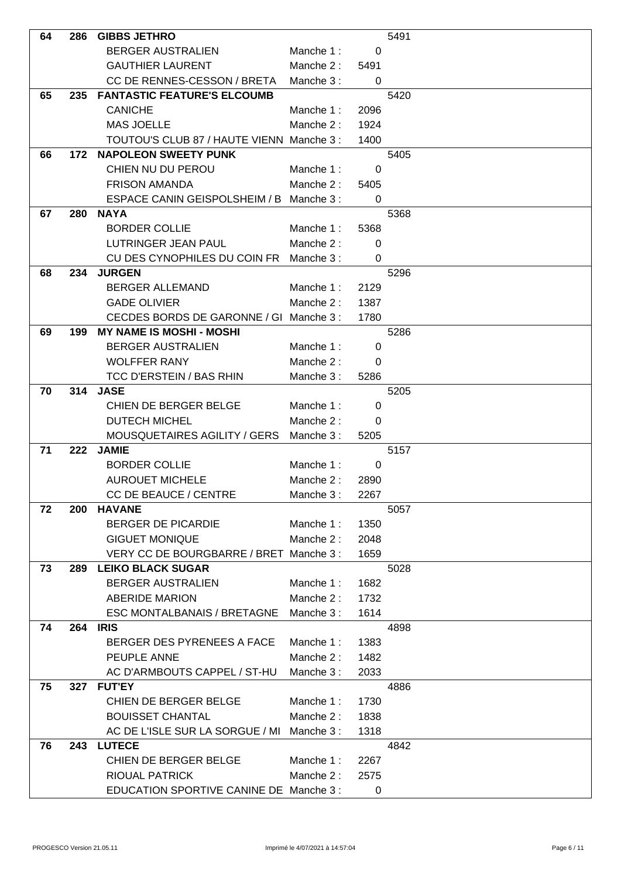| 64 | 286 | <b>GIBBS JETHRO</b>                        |           |             | 5491 |
|----|-----|--------------------------------------------|-----------|-------------|------|
|    |     | <b>BERGER AUSTRALIEN</b>                   | Manche 1: | 0           |      |
|    |     | <b>GAUTHIER LAURENT</b>                    | Manche 2: | 5491        |      |
|    |     | CC DE RENNES-CESSON / BRETA                | Manche 3: | 0           |      |
| 65 | 235 | <b>FANTASTIC FEATURE'S ELCOUMB</b>         |           |             | 5420 |
|    |     | <b>CANICHE</b>                             | Manche 1: | 2096        |      |
|    |     | <b>MAS JOELLE</b>                          | Manche 2: | 1924        |      |
|    |     | TOUTOU'S CLUB 87 / HAUTE VIENN Manche 3 :  |           | 1400        |      |
| 66 | 172 | <b>NAPOLEON SWEETY PUNK</b>                |           |             | 5405 |
|    |     | CHIEN NU DU PEROU                          | Manche 1: | 0           |      |
|    |     | <b>FRISON AMANDA</b>                       | Manche 2: | 5405        |      |
|    |     | ESPACE CANIN GEISPOLSHEIM / B Manche 3 :   |           | 0           |      |
| 67 | 280 | <b>NAYA</b>                                |           |             | 5368 |
|    |     | <b>BORDER COLLIE</b>                       | Manche 1: | 5368        |      |
|    |     | <b>LUTRINGER JEAN PAUL</b>                 | Manche 2: | 0           |      |
|    |     | CU DES CYNOPHILES DU COIN FR               | Manche 3: | 0           |      |
| 68 | 234 | <b>JURGEN</b>                              |           |             | 5296 |
|    |     | <b>BERGER ALLEMAND</b>                     | Manche 1: | 2129        |      |
|    |     | <b>GADE OLIVIER</b>                        | Manche 2: | 1387        |      |
|    |     | CECDES BORDS DE GARONNE / GI Manche 3 :    |           | 1780        |      |
| 69 | 199 | <b>MY NAME IS MOSHI - MOSHI</b>            |           |             | 5286 |
|    |     | <b>BERGER AUSTRALIEN</b>                   | Manche 1: | 0           |      |
|    |     | <b>WOLFFER RANY</b>                        | Manche 2: | 0           |      |
|    |     | TCC D'ERSTEIN / BAS RHIN                   | Manche 3: | 5286        |      |
| 70 | 314 | <b>JASE</b>                                |           |             | 5205 |
|    |     | CHIEN DE BERGER BELGE                      | Manche 1: | 0           |      |
|    |     | <b>DUTECH MICHEL</b>                       | Manche 2: | 0           |      |
|    |     | MOUSQUETAIRES AGILITY / GERS               | Manche 3: | 5205        |      |
| 71 | 222 | <b>JAMIE</b>                               |           |             | 5157 |
|    |     | <b>BORDER COLLIE</b>                       | Manche 1: | $\mathbf 0$ |      |
|    |     | <b>AUROUET MICHELE</b>                     | Manche 2: | 2890        |      |
|    |     | <b>CC DE BEAUCE / CENTRE</b>               | Manche 3: | 2267        |      |
| 72 | 200 | <b>HAVANE</b>                              |           |             | 5057 |
|    |     | <b>BERGER DE PICARDIE</b>                  | Manche 1: | 1350        |      |
|    |     | <b>GIGUET MONIQUE</b>                      | Manche 2: | 2048        |      |
|    |     | VERY CC DE BOURGBARRE / BRET Manche 3 :    |           | 1659        |      |
| 73 | 289 | <b>LEIKO BLACK SUGAR</b>                   |           |             | 5028 |
|    |     | <b>BERGER AUSTRALIEN</b>                   | Manche 1: | 1682        |      |
|    |     | <b>ABERIDE MARION</b>                      | Manche 2: | 1732        |      |
|    |     | <b>ESC MONTALBANAIS / BRETAGNE</b>         | Manche 3: | 1614        |      |
| 74 |     | <b>264 IRIS</b>                            |           |             | 4898 |
|    |     | BERGER DES PYRENEES A FACE                 | Manche 1: | 1383        |      |
|    |     | PEUPLE ANNE                                | Manche 2: | 1482        |      |
|    |     | AC D'ARMBOUTS CAPPEL / ST-HU               | Manche 3: | 2033        |      |
| 75 | 327 | <b>FUT'EY</b>                              |           |             | 4886 |
|    |     | CHIEN DE BERGER BELGE                      | Manche 1: | 1730        |      |
|    |     | <b>BOUISSET CHANTAL</b>                    | Manche 2: | 1838        |      |
|    |     | AC DE L'ISLE SUR LA SORGUE / MI Manche 3 : |           | 1318        |      |
| 76 | 243 | <b>LUTECE</b>                              |           |             | 4842 |
|    |     | CHIEN DE BERGER BELGE                      | Manche 1: | 2267        |      |
|    |     | RIOUAL PATRICK                             | Manche 2: | 2575        |      |
|    |     | EDUCATION SPORTIVE CANINE DE Manche 3 :    |           | 0           |      |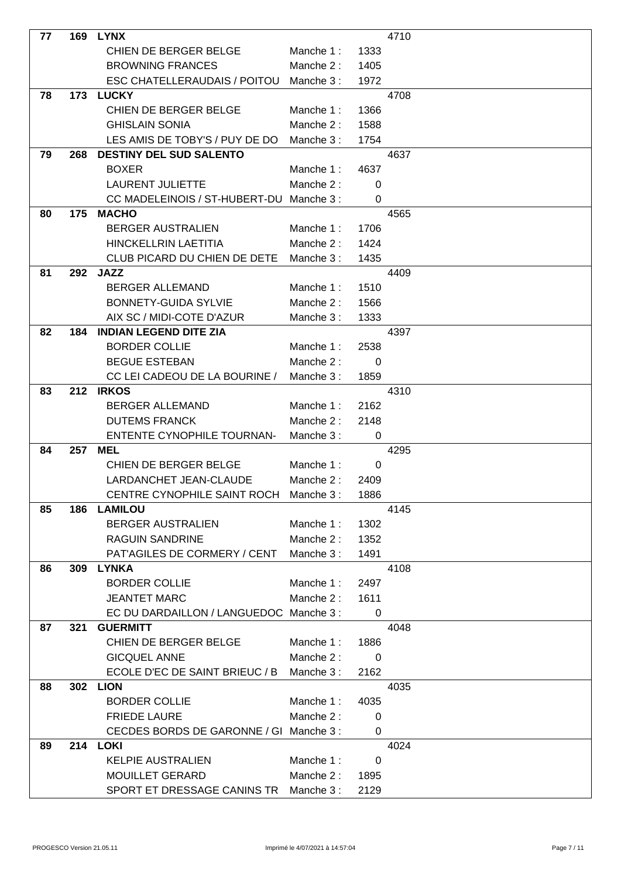| 77 | 169 | <b>LYNX</b>                             |           |             | 4710 |
|----|-----|-----------------------------------------|-----------|-------------|------|
|    |     | CHIEN DE BERGER BELGE                   | Manche 1: | 1333        |      |
|    |     | <b>BROWNING FRANCES</b>                 | Manche 2: | 1405        |      |
|    |     | ESC CHATELLERAUDAIS / POITOU            | Manche 3: | 1972        |      |
| 78 | 173 | <b>LUCKY</b>                            |           |             | 4708 |
|    |     | CHIEN DE BERGER BELGE                   | Manche 1: | 1366        |      |
|    |     | <b>GHISLAIN SONIA</b>                   | Manche 2: | 1588        |      |
|    |     | LES AMIS DE TOBY'S / PUY DE DO          | Manche 3: | 1754        |      |
| 79 | 268 | <b>DESTINY DEL SUD SALENTO</b>          |           |             | 4637 |
|    |     | <b>BOXER</b>                            | Manche 1: | 4637        |      |
|    |     | <b>LAURENT JULIETTE</b>                 | Manche 2: | 0           |      |
|    |     | CC MADELEINOIS / ST-HUBERT-DU           | Manche 3: | 0           |      |
| 80 | 175 | <b>MACHO</b>                            |           |             | 4565 |
|    |     | <b>BERGER AUSTRALIEN</b>                | Manche 1: | 1706        |      |
|    |     | <b>HINCKELLRIN LAETITIA</b>             | Manche 2: | 1424        |      |
|    |     | CLUB PICARD DU CHIEN DE DETE            | Manche 3: | 1435        |      |
| 81 | 292 | <b>JAZZ</b>                             |           |             | 4409 |
|    |     | <b>BERGER ALLEMAND</b>                  | Manche 1: | 1510        |      |
|    |     | <b>BONNETY-GUIDA SYLVIE</b>             | Manche 2: | 1566        |      |
|    |     | AIX SC / MIDI-COTE D'AZUR               | Manche 3: | 1333        |      |
| 82 | 184 | <b>INDIAN LEGEND DITE ZIA</b>           |           |             | 4397 |
|    |     | <b>BORDER COLLIE</b>                    | Manche 1: | 2538        |      |
|    |     | <b>BEGUE ESTEBAN</b>                    | Manche 2: | $\mathbf 0$ |      |
|    |     | CC LEI CADEOU DE LA BOURINE /           | Manche 3: | 1859        |      |
| 83 | 212 | <b>IRKOS</b>                            |           |             | 4310 |
|    |     | <b>BERGER ALLEMAND</b>                  | Manche 1: | 2162        |      |
|    |     | <b>DUTEMS FRANCK</b>                    | Manche 2: | 2148        |      |
|    |     | ENTENTE CYNOPHILE TOURNAN-              | Manche 3: | 0           |      |
| 84 | 257 | MEL                                     |           |             | 4295 |
|    |     | CHIEN DE BERGER BELGE                   | Manche 1: | 0           |      |
|    |     | LARDANCHET JEAN-CLAUDE                  | Manche 2: | 2409        |      |
|    |     | CENTRE CYNOPHILE SAINT ROCH Manche 3:   |           | 1886        |      |
| 85 | 186 | <b>LAMILOU</b>                          |           |             | 4145 |
|    |     | <b>BERGER AUSTRALIEN</b>                | Manche 1: | 1302        |      |
|    |     | <b>RAGUIN SANDRINE</b>                  | Manche 2: | 1352        |      |
|    |     | PAT'AGILES DE CORMERY / CENT            | Manche 3: | 1491        |      |
| 86 | 309 | <b>LYNKA</b>                            |           |             | 4108 |
|    |     | <b>BORDER COLLIE</b>                    | Manche 1: | 2497        |      |
|    |     | <b>JEANTET MARC</b>                     | Manche 2: | 1611        |      |
|    |     | EC DU DARDAILLON / LANGUEDOC Manche 3 : |           | 0           |      |
| 87 | 321 | <b>GUERMITT</b>                         |           |             | 4048 |
|    |     | CHIEN DE BERGER BELGE                   | Manche 1: | 1886        |      |
|    |     | <b>GICQUEL ANNE</b>                     | Manche 2: | 0           |      |
|    |     | ECOLE D'EC DE SAINT BRIEUC / B          | Manche 3: | 2162        |      |
| 88 |     | <b>302 LION</b>                         |           |             | 4035 |
|    |     | <b>BORDER COLLIE</b>                    | Manche 1: | 4035        |      |
|    |     | <b>FRIEDE LAURE</b>                     | Manche 2: | 0           |      |
|    |     | CECDES BORDS DE GARONNE / GI Manche 3 : |           | 0           |      |
| 89 |     | <b>214 LOKI</b>                         |           |             | 4024 |
|    |     | <b>KELPIE AUSTRALIEN</b>                | Manche 1: | 0           |      |
|    |     | MOUILLET GERARD                         | Manche 2: | 1895        |      |
|    |     | SPORT ET DRESSAGE CANINS TR Manche 3:   |           | 2129        |      |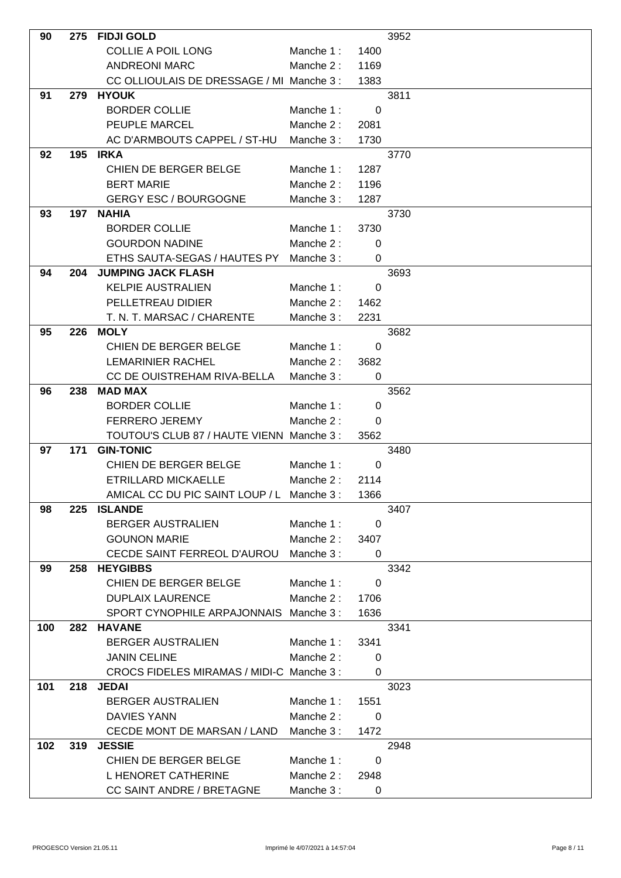| 90  | 275 | <b>FIDJI GOLD</b>                          |           |             | 3952 |
|-----|-----|--------------------------------------------|-----------|-------------|------|
|     |     | <b>COLLIE A POIL LONG</b>                  | Manche 1: | 1400        |      |
|     |     | <b>ANDREONI MARC</b>                       | Manche 2: | 1169        |      |
|     |     | CC OLLIOULAIS DE DRESSAGE / MI Manche 3 :  |           | 1383        |      |
| 91  | 279 | <b>HYOUK</b>                               |           |             | 3811 |
|     |     | <b>BORDER COLLIE</b>                       | Manche 1: | $\mathbf 0$ |      |
|     |     | PEUPLE MARCEL                              | Manche 2: | 2081        |      |
|     |     | AC D'ARMBOUTS CAPPEL / ST-HU               | Manche 3: | 1730        |      |
| 92  | 195 | <b>IRKA</b>                                |           |             | 3770 |
|     |     | CHIEN DE BERGER BELGE                      | Manche 1: | 1287        |      |
|     |     | <b>BERT MARIE</b>                          | Manche 2: | 1196        |      |
|     |     | <b>GERGY ESC / BOURGOGNE</b>               | Manche 3: | 1287        |      |
| 93  | 197 | <b>NAHIA</b>                               |           |             | 3730 |
|     |     | <b>BORDER COLLIE</b>                       | Manche 1: | 3730        |      |
|     |     | <b>GOURDON NADINE</b>                      | Manche 2: | 0           |      |
|     |     | ETHS SAUTA-SEGAS / HAUTES PY               | Manche 3: | 0           |      |
| 94  | 204 | <b>JUMPING JACK FLASH</b>                  |           |             | 3693 |
|     |     | <b>KELPIE AUSTRALIEN</b>                   | Manche 1: | $\Omega$    |      |
|     |     | PELLETREAU DIDIER                          | Manche 2: | 1462        |      |
|     |     | T. N. T. MARSAC / CHARENTE                 | Manche 3: | 2231        |      |
| 95  | 226 | <b>MOLY</b>                                |           |             | 3682 |
|     |     | CHIEN DE BERGER BELGE                      | Manche 1: | 0           |      |
|     |     | <b>LEMARINIER RACHEL</b>                   | Manche 2: | 3682        |      |
|     |     | CC DE OUISTREHAM RIVA-BELLA                | Manche 3: | 0           |      |
| 96  | 238 | <b>MAD MAX</b>                             |           |             | 3562 |
|     |     | <b>BORDER COLLIE</b>                       | Manche 1: | 0           |      |
|     |     | <b>FERRERO JEREMY</b>                      | Manche 2: | $\Omega$    |      |
|     |     | TOUTOU'S CLUB 87 / HAUTE VIENN Manche 3 :  |           | 3562        |      |
| 97  | 171 | <b>GIN-TONIC</b>                           |           |             | 3480 |
|     |     | CHIEN DE BERGER BELGE                      | Manche 1: | 0           |      |
|     |     | ETRILLARD MICKAELLE                        | Manche 2: | 2114        |      |
|     |     | AMICAL CC DU PIC SAINT LOUP / L Manche 3 : |           | 1366        |      |
| 98  | 225 | <b>ISLANDE</b>                             |           |             | 3407 |
|     |     | <b>BERGER AUSTRALIEN</b>                   | Manche 1: | 0           |      |
|     |     | <b>GOUNON MARIE</b>                        | Manche 2: | 3407        |      |
|     |     | CECDE SAINT FERREOL D'AUROU                | Manche 3: | $\Omega$    |      |
| 99  |     | 258 HEYGIBBS                               |           |             | 3342 |
|     |     | CHIEN DE BERGER BELGE                      | Manche 1: | 0           |      |
|     |     | <b>DUPLAIX LAURENCE</b>                    | Manche 2: | 1706        |      |
|     |     | SPORT CYNOPHILE ARPAJONNAIS                | Manche 3: | 1636        |      |
| 100 | 282 | <b>HAVANE</b>                              |           |             | 3341 |
|     |     | <b>BERGER AUSTRALIEN</b>                   | Manche 1: | 3341        |      |
|     |     | <b>JANIN CELINE</b>                        | Manche 2: | 0           |      |
|     |     | CROCS FIDELES MIRAMAS / MIDI-C Manche 3 :  |           | 0           |      |
| 101 | 218 | <b>JEDAI</b>                               |           |             | 3023 |
|     |     | <b>BERGER AUSTRALIEN</b>                   | Manche 1: | 1551        |      |
|     |     | DAVIES YANN                                | Manche 2: | 0           |      |
|     |     | CECDE MONT DE MARSAN / LAND                | Manche 3: | 1472        |      |
| 102 | 319 | <b>JESSIE</b>                              |           |             | 2948 |
|     |     | CHIEN DE BERGER BELGE                      | Manche 1: | 0           |      |
|     |     | L HENORET CATHERINE                        | Manche 2: | 2948        |      |
|     |     | <b>CC SAINT ANDRE / BRETAGNE</b>           | Manche 3: | 0           |      |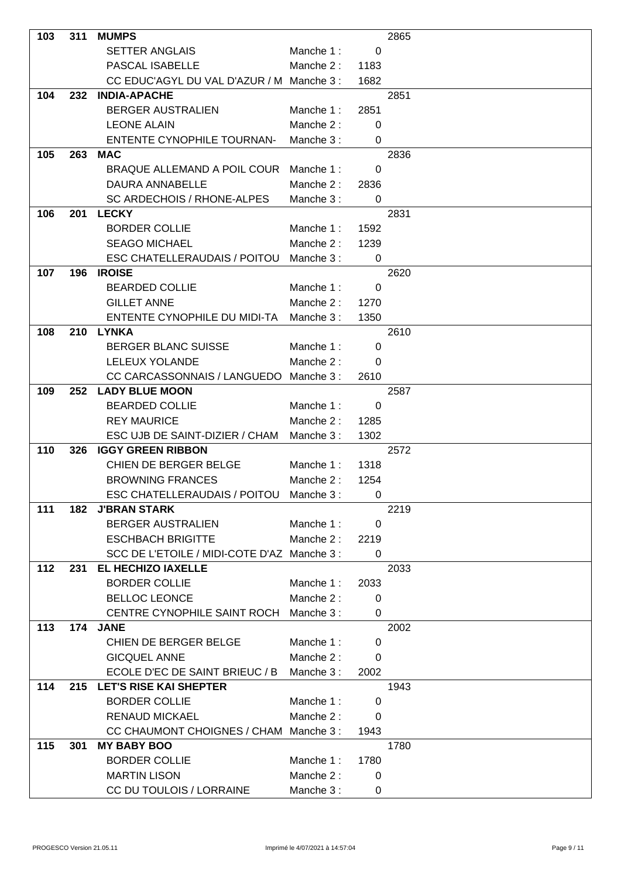| 103 | 311 | <b>MUMPS</b>                                 |           |                          | 2865 |
|-----|-----|----------------------------------------------|-----------|--------------------------|------|
|     |     | <b>SETTER ANGLAIS</b>                        | Manche 1: | 0                        |      |
|     |     | <b>PASCAL ISABELLE</b>                       | Manche 2: | 1183                     |      |
|     |     | CC EDUC'AGYL DU VAL D'AZUR / M Manche 3 :    |           | 1682                     |      |
| 104 | 232 | <b>INDIA-APACHE</b>                          |           |                          | 2851 |
|     |     | <b>BERGER AUSTRALIEN</b>                     | Manche 1: | 2851                     |      |
|     |     | <b>LEONE ALAIN</b>                           | Manche 2: | 0                        |      |
|     |     | <b>ENTENTE CYNOPHILE TOURNAN-</b>            | Manche 3: | 0                        |      |
| 105 | 263 | <b>MAC</b>                                   |           |                          | 2836 |
|     |     | BRAQUE ALLEMAND A POIL COUR                  | Manche 1: | 0                        |      |
|     |     | DAURA ANNABELLE                              | Manche 2: | 2836                     |      |
|     |     | SC ARDECHOIS / RHONE-ALPES                   | Manche 3: | $\Omega$                 |      |
| 106 | 201 | <b>LECKY</b>                                 |           |                          | 2831 |
|     |     | <b>BORDER COLLIE</b>                         | Manche 1: | 1592                     |      |
|     |     | <b>SEAGO MICHAEL</b>                         | Manche 2: | 1239                     |      |
|     |     | ESC CHATELLERAUDAIS / POITOU                 | Manche 3: | 0                        |      |
| 107 | 196 | <b>IROISE</b>                                |           |                          | 2620 |
|     |     | <b>BEARDED COLLIE</b>                        | Manche 1: | 0                        |      |
|     |     | <b>GILLET ANNE</b>                           | Manche 2: | 1270                     |      |
|     |     | ENTENTE CYNOPHILE DU MIDI-TA                 | Manche 3: | 1350                     |      |
| 108 | 210 | <b>LYNKA</b>                                 |           |                          | 2610 |
|     |     | <b>BERGER BLANC SUISSE</b>                   | Manche 1: | 0                        |      |
|     |     | LELEUX YOLANDE                               | Manche 2: | 0                        |      |
|     |     | CC CARCASSONNAIS / LANGUEDO                  | Manche 3: | 2610                     |      |
| 109 | 252 | <b>LADY BLUE MOON</b>                        |           |                          | 2587 |
|     |     | <b>BEARDED COLLIE</b>                        | Manche 1: | $\Omega$                 |      |
|     |     | <b>REY MAURICE</b>                           | Manche 2: | 1285                     |      |
|     |     | ESC UJB DE SAINT-DIZIER / CHAM               | Manche 3: | 1302                     |      |
| 110 | 326 | <b>IGGY GREEN RIBBON</b>                     |           |                          | 2572 |
|     |     | CHIEN DE BERGER BELGE                        | Manche 1: | 1318                     |      |
|     |     | <b>BROWNING FRANCES</b>                      | Manche 2: | 1254                     |      |
|     |     | ESC CHATELLERAUDAIS / POITOU Manche 3 :      |           | $\overline{\phantom{0}}$ |      |
| 111 | 182 | <b>J'BRAN STARK</b>                          |           |                          | 2219 |
|     |     | <b>BERGER AUSTRALIEN</b>                     | Manche 1: | 0                        |      |
|     |     | <b>ESCHBACH BRIGITTE</b>                     | Manche 2: | 2219                     |      |
|     |     | SCC DE L'ETOILE / MIDI-COTE D'AZ Manche 3 :  |           | 0                        |      |
| 112 | 231 | EL HECHIZO IAXELLE                           |           |                          | 2033 |
|     |     | <b>BORDER COLLIE</b><br><b>BELLOC LEONCE</b> | Manche 1: | 2033                     |      |
|     |     |                                              | Manche 2: | 0                        |      |
| 113 | 174 | CENTRE CYNOPHILE SAINT ROCH<br><b>JANE</b>   | Manche 3: | 0                        | 2002 |
|     |     | CHIEN DE BERGER BELGE                        | Manche 1: | 0                        |      |
|     |     | <b>GICQUEL ANNE</b>                          | Manche 2: | 0                        |      |
|     |     | ECOLE D'EC DE SAINT BRIEUC / B               | Manche 3: | 2002                     |      |
| 114 | 215 | <b>LET'S RISE KAI SHEPTER</b>                |           |                          | 1943 |
|     |     | <b>BORDER COLLIE</b>                         | Manche 1: | 0                        |      |
|     |     | <b>RENAUD MICKAEL</b>                        | Manche 2: | 0                        |      |
|     |     | CC CHAUMONT CHOIGNES / CHAM Manche 3 :       |           | 1943                     |      |
| 115 | 301 | <b>MY BABY BOO</b>                           |           |                          | 1780 |
|     |     | <b>BORDER COLLIE</b>                         | Manche 1: | 1780                     |      |
|     |     | <b>MARTIN LISON</b>                          | Manche 2: | 0                        |      |
|     |     | CC DU TOULOIS / LORRAINE                     | Manche 3: | 0                        |      |
|     |     |                                              |           |                          |      |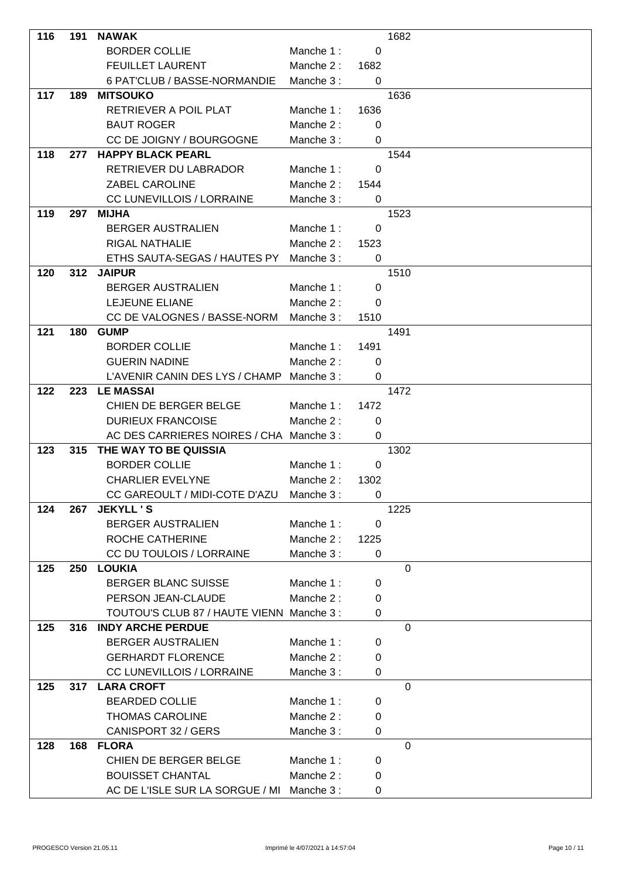| 116 | 191 | <b>NAWAK</b>                               |           |                         | 1682           |
|-----|-----|--------------------------------------------|-----------|-------------------------|----------------|
|     |     | <b>BORDER COLLIE</b>                       | Manche 1: | 0                       |                |
|     |     | <b>FEUILLET LAURENT</b>                    | Manche 2: | 1682                    |                |
|     |     | 6 PAT'CLUB / BASSE-NORMANDIE               | Manche 3: | $\mathbf 0$             |                |
| 117 | 189 | <b>MITSOUKO</b>                            |           |                         | 1636           |
|     |     | RETRIEVER A POIL PLAT                      | Manche 1: | 1636                    |                |
|     |     | <b>BAUT ROGER</b>                          | Manche 2: | 0                       |                |
|     |     | CC DE JOIGNY / BOURGOGNE                   | Manche 3: | $\mathbf 0$             |                |
| 118 | 277 | <b>HAPPY BLACK PEARL</b>                   |           |                         | 1544           |
|     |     | RETRIEVER DU LABRADOR                      | Manche 1: | 0                       |                |
|     |     | <b>ZABEL CAROLINE</b>                      | Manche 2: |                         |                |
|     |     | <b>CC LUNEVILLOIS / LORRAINE</b>           | Manche 3: | 1544<br>0               |                |
| 119 | 297 | <b>MIJHA</b>                               |           |                         | 1523           |
|     |     |                                            |           |                         |                |
|     |     | <b>BERGER AUSTRALIEN</b>                   | Manche 1: | 0                       |                |
|     |     | <b>RIGAL NATHALIE</b>                      | Manche 2: | 1523                    |                |
|     |     | ETHS SAUTA-SEGAS / HAUTES PY               | Manche 3: | $\mathbf 0$             |                |
| 120 | 312 | <b>JAIPUR</b>                              |           |                         | 1510           |
|     |     | <b>BERGER AUSTRALIEN</b>                   | Manche 1: | 0                       |                |
|     |     | <b>LEJEUNE ELIANE</b>                      | Manche 2: | 0                       |                |
|     |     | CC DE VALOGNES / BASSE-NORM                | Manche 3: | 1510                    |                |
| 121 | 180 | <b>GUMP</b>                                |           |                         | 1491           |
|     |     | <b>BORDER COLLIE</b>                       | Manche 1: | 1491                    |                |
|     |     | <b>GUERIN NADINE</b>                       | Manche 2: | 0                       |                |
|     |     | L'AVENIR CANIN DES LYS / CHAMP             | Manche 3: | 0                       |                |
| 122 | 223 | <b>LE MASSAI</b>                           |           |                         | 1472           |
|     |     | CHIEN DE BERGER BELGE                      | Manche 1: | 1472                    |                |
|     |     | <b>DURIEUX FRANCOISE</b>                   | Manche 2: | 0                       |                |
|     |     | AC DES CARRIERES NOIRES / CHA Manche 3 :   |           | 0                       |                |
| 123 | 315 | THE WAY TO BE QUISSIA                      |           |                         | 1302           |
|     |     | <b>BORDER COLLIE</b>                       | Manche 1: | 0                       |                |
|     |     | <b>CHARLIER EVELYNE</b>                    | Manche 2: | 1302                    |                |
|     |     | CC GAREOULT / MIDI-COTE D'AZU Manche 3 :   |           | $\overline{\mathbf{0}}$ |                |
| 124 | 267 | <b>JEKYLL'S</b>                            |           |                         | 1225           |
|     |     | <b>BERGER AUSTRALIEN</b>                   | Manche 1: | 0                       |                |
|     |     | ROCHE CATHERINE                            | Manche 2: | 1225                    |                |
|     |     | CC DU TOULOIS / LORRAINE                   | Manche 3: | 0                       |                |
| 125 | 250 | <b>LOUKIA</b>                              |           |                         | $\mathbf{0}$   |
|     |     | <b>BERGER BLANC SUISSE</b>                 | Manche 1: | 0                       |                |
|     |     | PERSON JEAN-CLAUDE                         | Manche 2: | 0                       |                |
|     |     | TOUTOU'S CLUB 87 / HAUTE VIENN Manche 3 :  |           | $\mathbf 0$             |                |
| 125 | 316 | <b>INDY ARCHE PERDUE</b>                   |           |                         | $\overline{0}$ |
|     |     | <b>BERGER AUSTRALIEN</b>                   | Manche 1: | 0                       |                |
|     |     | <b>GERHARDT FLORENCE</b>                   | Manche 2: | 0                       |                |
|     |     | CC LUNEVILLOIS / LORRAINE                  | Manche 3: | 0                       |                |
| 125 | 317 | <b>LARA CROFT</b>                          |           |                         | $\mathbf 0$    |
|     |     | <b>BEARDED COLLIE</b>                      | Manche 1: | 0                       |                |
|     |     | <b>THOMAS CAROLINE</b>                     | Manche 2: | 0                       |                |
|     |     | CANISPORT 32 / GERS                        | Manche 3: | 0                       |                |
| 128 | 168 | <b>FLORA</b>                               |           |                         | $\overline{0}$ |
|     |     | CHIEN DE BERGER BELGE                      | Manche 1: | 0                       |                |
|     |     | <b>BOUISSET CHANTAL</b>                    | Manche 2: | 0                       |                |
|     |     | AC DE L'ISLE SUR LA SORGUE / MI Manche 3 : |           | 0                       |                |